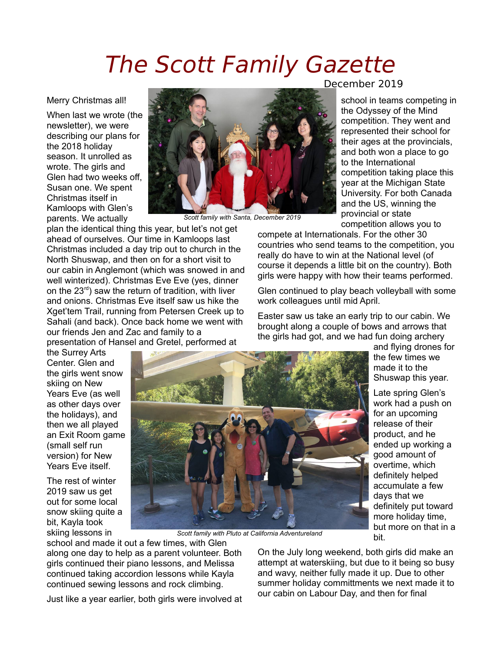## The Scott Family Gazette

Merry Christmas all!

When last we wrote (the newsletter), we were describing our plans for the 2018 holiday season. It unrolled as wrote. The girls and Glen had two weeks off, Susan one. We spent Christmas itself in Kamloops with Glen's parents. We actually

the Surrey Arts Center. Glen and the girls went snow skiing on New Years Eve (as well as other days over the holidays), and then we all played an Exit Room game (small self run version) for New Years Eve itself. The rest of winter 2019 saw us get out for some local snow skiing quite a bit, Kayla took



*Scott family with Santa, December 2019*

plan the identical thing this year, but let's not get ahead of ourselves. Our time in Kamloops last Christmas included a day trip out to church in the North Shuswap, and then on for a short visit to our cabin in Anglemont (which was snowed in and well winterized). Christmas Eve Eve (yes, dinner on the 23<sup>rd</sup>) saw the return of tradition, with liver and onions. Christmas Eve itself saw us hike the Xget'tem Trail, running from Petersen Creek up to Sahali (and back). Once back home we went with our friends Jen and Zac and family to a presentation of Hansel and Gretel, performed at

December 2019

school in teams competing in the Odyssey of the Mind competition. They went and represented their school for their ages at the provincials, and both won a place to go to the International competition taking place this year at the Michigan State University. For both Canada and the US, winning the provincial or state competition allows you to

compete at Internationals. For the other 30 countries who send teams to the competition, you really do have to win at the National level (of course it depends a little bit on the country). Both girls were happy with how their teams performed.

Glen continued to play beach volleyball with some work colleagues until mid April.

Easter saw us take an early trip to our cabin. We brought along a couple of bows and arrows that the girls had got, and we had fun doing archery

> and flying drones for the few times we made it to the Shuswap this year.

Late spring Glen's work had a push on for an upcoming release of their product, and he ended up working a good amount of overtime, which definitely helped accumulate a few days that we definitely put toward more holiday time, but more on that in a bit.

skiing lessons in school and made it out a few times, with Glen along one day to help as a parent volunteer. Both girls continued their piano lessons, and Melissa continued taking accordion lessons while Kayla continued sewing lessons and rock climbing.

Just like a year earlier, both girls were involved at

*Scott family with Pluto at California Adventureland*

On the July long weekend, both girls did make an attempt at waterskiing, but due to it being so busy and wavy, neither fully made it up. Due to other summer holiday committments we next made it to our cabin on Labour Day, and then for final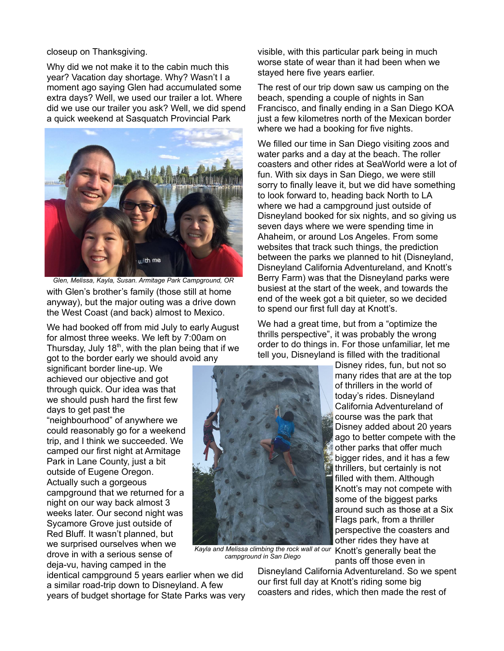## closeup on Thanksgiving.

Why did we not make it to the cabin much this year? Vacation day shortage. Why? Wasn't I a moment ago saying Glen had accumulated some extra days? Well, we used our trailer a lot. Where did we use our trailer you ask? Well, we did spend a quick weekend at Sasquatch Provincial Park



with Glen's brother's family (those still at home anyway), but the major outing was a drive down the West Coast (and back) almost to Mexico. *Glen, Melissa, Kayla, Susan. Armitage Park Campground, OR*

We had booked off from mid July to early August for almost three weeks. We left by 7:00am on Thursday, July  $18<sup>th</sup>$ , with the plan being that if we got to the border early we should avoid any

significant border line-up. We achieved our objective and got through quick. Our idea was that we should push hard the first few days to get past the "neighbourhood" of anywhere we could reasonably go for a weekend trip, and I think we succeeded. We camped our first night at Armitage Park in Lane County, just a bit outside of Eugene Oregon. Actually such a gorgeous campground that we returned for a night on our way back almost 3 weeks later. Our second night was Sycamore Grove just outside of Red Bluff. It wasn't planned, but we surprised ourselves when we drove in with a serious sense of deja-vu, having camped in the

identical campground 5 years earlier when we did a similar road-trip down to Disneyland. A few years of budget shortage for State Parks was very visible, with this particular park being in much worse state of wear than it had been when we stayed here five years earlier.

The rest of our trip down saw us camping on the beach, spending a couple of nights in San Francisco, and finally ending in a San Diego KOA just a few kilometres north of the Mexican border where we had a booking for five nights.

We filled our time in San Diego visiting zoos and water parks and a day at the beach. The roller coasters and other rides at SeaWorld were a lot of fun. With six days in San Diego, we were still sorry to finally leave it, but we did have something to look forward to, heading back North to LA where we had a campground just outside of Disneyland booked for six nights, and so giving us seven days where we were spending time in Ahaheim, or around Los Angeles. From some websites that track such things, the prediction between the parks we planned to hit (Disneyland, Disneyland California Adventureland, and Knott's Berry Farm) was that the Disneyland parks were busiest at the start of the week, and towards the end of the week got a bit quieter, so we decided to spend our first full day at Knott's.

We had a great time, but from a "optimize the thrills perspective", it was probably the wrong order to do things in. For those unfamiliar, let me tell you, Disneyland is filled with the traditional



Kayla and Melissa climbing the rock wall at our Knott's generally beat the *campground in San Diego*

Disney rides, fun, but not so many rides that are at the top of thrillers in the world of today's rides. Disneyland California Adventureland of course was the park that Disney added about 20 years ago to better compete with the other parks that offer much bigger rides, and it has a few thrillers, but certainly is not filled with them. Although Knott's may not compete with some of the biggest parks around such as those at a Six Flags park, from a thriller perspective the coasters and other rides they have at pants off those even in

Disneyland California Adventureland. So we spent our first full day at Knott's riding some big coasters and rides, which then made the rest of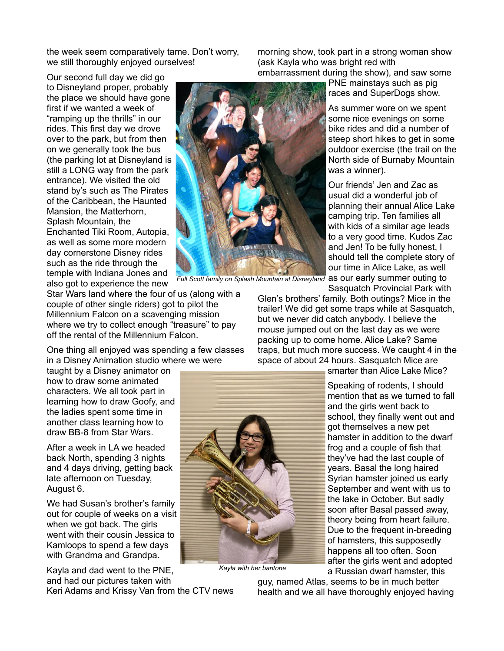the week seem comparatively tame. Don't worry, we still thoroughly enjoyed ourselves!

Our second full day we did go to Disneyland proper, probably the place we should have gone first if we wanted a week of "ramping up the thrills" in our rides. This first day we drove over to the park, but from then on we generally took the bus (the parking lot at Disneyland is still a LONG way from the park entrance). We visited the old stand by's such as The Pirates of the Caribbean, the Haunted Mansion, the Matterhorn, Splash Mountain, the Enchanted Tiki Room, Autopia, as well as some more modern day cornerstone Disney rides such as the ride through the temple with Indiana Jones and also got to experience the new



Star Wars land where the four of us (along with a couple of other single riders) got to pilot the Millennium Falcon on a scavenging mission where we try to collect enough "treasure" to pay off the rental of the Millennium Falcon.

One thing all enjoyed was spending a few classes in a Disney Animation studio where we were

taught by a Disney animator on how to draw some animated characters. We all took part in learning how to draw Goofy, and the ladies spent some time in another class learning how to draw BB-8 from Star Wars.

After a week in LA we headed back North, spending 3 nights and 4 days driving, getting back late afternoon on Tuesday, August 6.

We had Susan's brother's family out for couple of weeks on a visit when we got back. The girls went with their cousin Jessica to Kamloops to spend a few days with Grandma and Grandpa.

Kayla and dad went to the PNE, and had our pictures taken with

Keri Adams and Krissy Van from the CTV news

morning show, took part in a strong woman show (ask Kayla who was bright red with embarrassment during the show), and saw some

> PNE mainstays such as pig races and SuperDogs show.

As summer wore on we spent some nice evenings on some bike rides and did a number of steep short hikes to get in some outdoor exercise (the trail on the North side of Burnaby Mountain was a winner).

Our friends' Jen and Zac as usual did a wonderful job of planning their annual Alice Lake camping trip. Ten families all with kids of a similar age leads to a very good time. Kudos Zac and Jen! To be fully honest, I should tell the complete story of our time in Alice Lake, as well Full Scott family on Splash Mountain at Disneyland as our early summer outing to Sasquatch Provincial Park with

Glen's brothers' family. Both outings? Mice in the trailer! We did get some traps while at Sasquatch, but we never did catch anybody. I believe the mouse jumped out on the last day as we were packing up to come home. Alice Lake? Same traps, but much more success. We caught 4 in the space of about 24 hours. Sasquatch Mice are



*Kayla with her baritone*

smarter than Alice Lake Mice?

Speaking of rodents, I should mention that as we turned to fall and the girls went back to school, they finally went out and got themselves a new pet hamster in addition to the dwarf frog and a couple of fish that they've had the last couple of years. Basal the long haired Syrian hamster joined us early September and went with us to the lake in October. But sadly soon after Basal passed away, theory being from heart failure. Due to the frequent in-breeding of hamsters, this supposedly happens all too often. Soon after the girls went and adopted a Russian dwarf hamster, this

guy, named Atlas, seems to be in much better health and we all have thoroughly enjoyed having